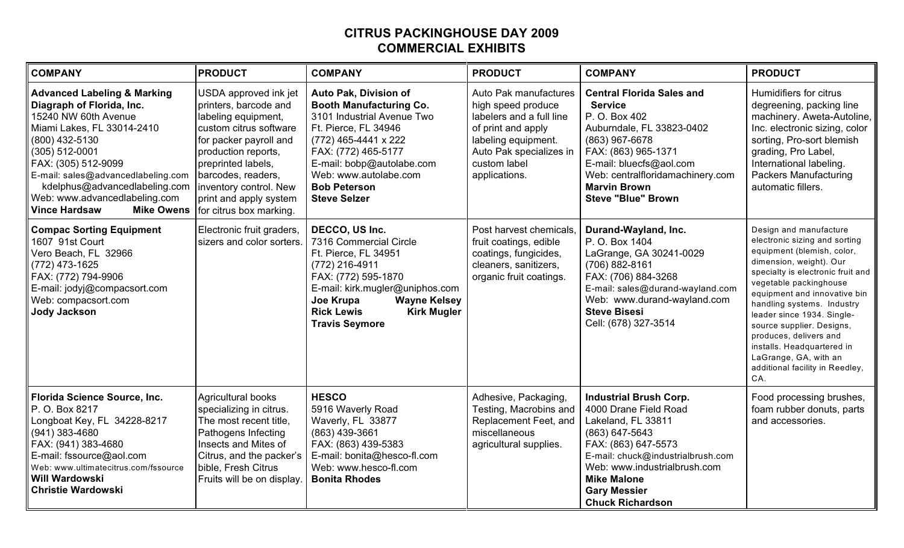## **CITRUS PACKINGHOUSE DAY 2009 COMMERCIAL EXHIBITS**

| <b>COMPANY</b>                                                                                                                                                                                                                                                                                                                            | <b>PRODUCT</b>                                                                                                                                                                                                                                                              | <b>COMPANY</b>                                                                                                                                                                                                                                                   | <b>PRODUCT</b>                                                                                                                                                                   | <b>COMPANY</b>                                                                                                                                                                                                                                                     | <b>PRODUCT</b>                                                                                                                                                                                                                                                                                                                                                                                                                      |
|-------------------------------------------------------------------------------------------------------------------------------------------------------------------------------------------------------------------------------------------------------------------------------------------------------------------------------------------|-----------------------------------------------------------------------------------------------------------------------------------------------------------------------------------------------------------------------------------------------------------------------------|------------------------------------------------------------------------------------------------------------------------------------------------------------------------------------------------------------------------------------------------------------------|----------------------------------------------------------------------------------------------------------------------------------------------------------------------------------|--------------------------------------------------------------------------------------------------------------------------------------------------------------------------------------------------------------------------------------------------------------------|-------------------------------------------------------------------------------------------------------------------------------------------------------------------------------------------------------------------------------------------------------------------------------------------------------------------------------------------------------------------------------------------------------------------------------------|
| <b>Advanced Labeling &amp; Marking</b><br>Diagraph of Florida, Inc.<br>15240 NW 60th Avenue<br>Miami Lakes, FL 33014-2410<br>(800) 432-5130<br>(305) 512-0001<br>FAX: (305) 512-9099<br>E-mail: sales@advancedlabeling.com<br>kdelphus@advancedlabeling.com<br>Web: www.advancedlabeling.com<br><b>Vince Hardsaw</b><br><b>Mike Owens</b> | USDA approved ink jet<br>printers, barcode and<br>labeling equipment,<br>custom citrus software<br>for packer payroll and<br>production reports,<br>preprinted labels,<br>barcodes, readers,<br>inventory control. New<br>print and apply system<br>for citrus box marking. | Auto Pak, Division of<br><b>Booth Manufacturing Co.</b><br>3101 Industrial Avenue Two<br>Ft. Pierce, FL 34946<br>(772) 465-4441 x 222<br>FAX: (772) 465-5177<br>E-mail: bobp@autolabe.com<br>Web: www.autolabe.com<br><b>Bob Peterson</b><br><b>Steve Selzer</b> | Auto Pak manufactures<br>high speed produce<br>labelers and a full line<br>of print and apply<br>labeling equipment.<br>Auto Pak specializes in<br>custom label<br>applications. | <b>Central Florida Sales and</b><br><b>Service</b><br>P. O. Box 402<br>Auburndale, FL 33823-0402<br>(863) 967-6678<br>FAX: (863) 965-1371<br>E-mail: bluecfs@aol.com<br>Web: centralfloridamachinery.com<br><b>Marvin Brown</b><br><b>Steve "Blue" Brown</b>       | Humidifiers for citrus<br>degreening, packing line<br>machinery. Aweta-Autoline,<br>Inc. electronic sizing, color<br>sorting, Pro-sort blemish<br>grading, Pro Label,<br>International labeling.<br><b>Packers Manufacturing</b><br>automatic fillers.                                                                                                                                                                              |
| <b>Compac Sorting Equipment</b><br>1607 91st Court<br>Vero Beach, FL 32966<br>(772) 473-1625<br>FAX: (772) 794-9906<br>E-mail: jodyj@compacsort.com<br>Web: compacsort.com<br><b>Jody Jackson</b>                                                                                                                                         | Electronic fruit graders,<br>sizers and color sorters.                                                                                                                                                                                                                      | DECCO, US Inc.<br>7316 Commercial Circle<br>Ft. Pierce, FL 34951<br>(772) 216-4911<br>FAX: (772) 595-1870<br>E-mail: kirk.mugler@uniphos.com<br>Joe Krupa<br><b>Wayne Kelsey</b><br><b>Rick Lewis</b><br><b>Kirk Mugler</b><br><b>Travis Seymore</b>             | Post harvest chemicals.<br>fruit coatings, edible<br>coatings, fungicides,<br>cleaners, sanitizers,<br>organic fruit coatings.                                                   | Durand-Wayland, Inc.<br>P. O. Box 1404<br>LaGrange, GA 30241-0029<br>(706) 882-8161<br>FAX: (706) 884-3268<br>E-mail: sales@durand-wayland.com<br>Web: www.durand-wayland.com<br><b>Steve Bisesi</b><br>Cell: (678) 327-3514                                       | Design and manufacture<br>electronic sizing and sorting<br>equipment (blemish, color,<br>dimension, weight). Our<br>specialty is electronic fruit and<br>vegetable packinghouse<br>equipment and innovative bin<br>handling systems. Industry<br>leader since 1934. Single-<br>source supplier. Designs,<br>produces, delivers and<br>installs. Headquartered in<br>LaGrange, GA, with an<br>additional facility in Reedley,<br>CA. |
| Florida Science Source, Inc.<br>P. O. Box 8217<br>Longboat Key, FL 34228-8217<br>(941) 383-4680<br>FAX: (941) 383-4680<br>E-mail: fssource@aol.com<br>Web: www.ultimatecitrus.com/fssource<br>Will Wardowski<br><b>Christie Wardowski</b>                                                                                                 | <b>Agricultural books</b><br>specializing in citrus.<br>The most recent title,<br>Pathogens Infecting<br>Insects and Mites of<br>Citrus, and the packer's<br>bible, Fresh Citrus<br>Fruits will be on display.                                                              | <b>HESCO</b><br>5916 Waverly Road<br>Waverly, FL 33877<br>(863) 439-3661<br>FAX: (863) 439-5383<br>E-mail: bonita@hesco-fl.com<br>Web: www.hesco-fl.com<br><b>Bonita Rhodes</b>                                                                                  | Adhesive, Packaging,<br>Testing, Macrobins and<br>Replacement Feet, and<br>miscellaneous<br>agricultural supplies.                                                               | <b>Industrial Brush Corp.</b><br>4000 Drane Field Road<br>Lakeland, FL 33811<br>(863) 647-5643<br>FAX: (863) 647-5573<br>E-mail: chuck@industrialbrush.com<br>Web: www.industrialbrush.com<br><b>Mike Malone</b><br><b>Gary Messier</b><br><b>Chuck Richardson</b> | Food processing brushes,<br>foam rubber donuts, parts<br>and accessories.                                                                                                                                                                                                                                                                                                                                                           |